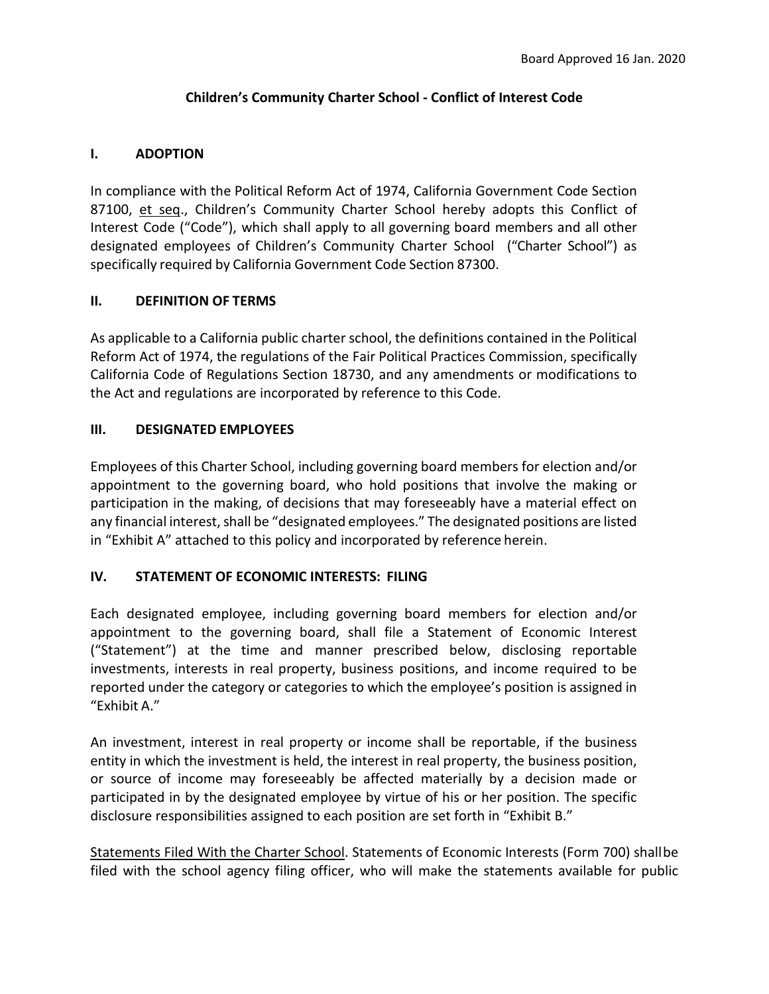## **Children's Community Charter School - Conflict of Interest Code**

## **I. ADOPTION**

In compliance with the Political Reform Act of 1974, California Government Code Section 87100, et seq., Children's Community Charter School hereby adopts this Conflict of Interest Code ("Code"), which shall apply to all governing board members and all other designated employees of Children's Community Charter School ("Charter School") as specifically required by California Government Code Section 87300.

# **II. DEFINITION OF TERMS**

As applicable to a California public charter school, the definitions contained in the Political Reform Act of 1974, the regulations of the Fair Political Practices Commission, specifically California Code of Regulations Section 18730, and any amendments or modifications to the Act and regulations are incorporated by reference to this Code.

### **III. DESIGNATED EMPLOYEES**

Employees of this Charter School, including governing board members for election and/or appointment to the governing board, who hold positions that involve the making or participation in the making, of decisions that may foreseeably have a material effect on any financial interest, shall be "designated employees." The designated positions are listed in "Exhibit A" attached to this policy and incorporated by reference herein.

# **IV. STATEMENT OF ECONOMIC INTERESTS: FILING**

Each designated employee, including governing board members for election and/or appointment to the governing board, shall file a Statement of Economic Interest ("Statement") at the time and manner prescribed below, disclosing reportable investments, interests in real property, business positions, and income required to be reported under the category or categories to which the employee's position is assigned in "Exhibit A."

An investment, interest in real property or income shall be reportable, if the business entity in which the investment is held, the interest in real property, the business position, or source of income may foreseeably be affected materially by a decision made or participated in by the designated employee by virtue of his or her position. The specific disclosure responsibilities assigned to each position are set forth in "Exhibit B."

Statements Filed With the Charter School. Statements of Economic Interests (Form 700) shallbe filed with the school agency filing officer, who will make the statements available for public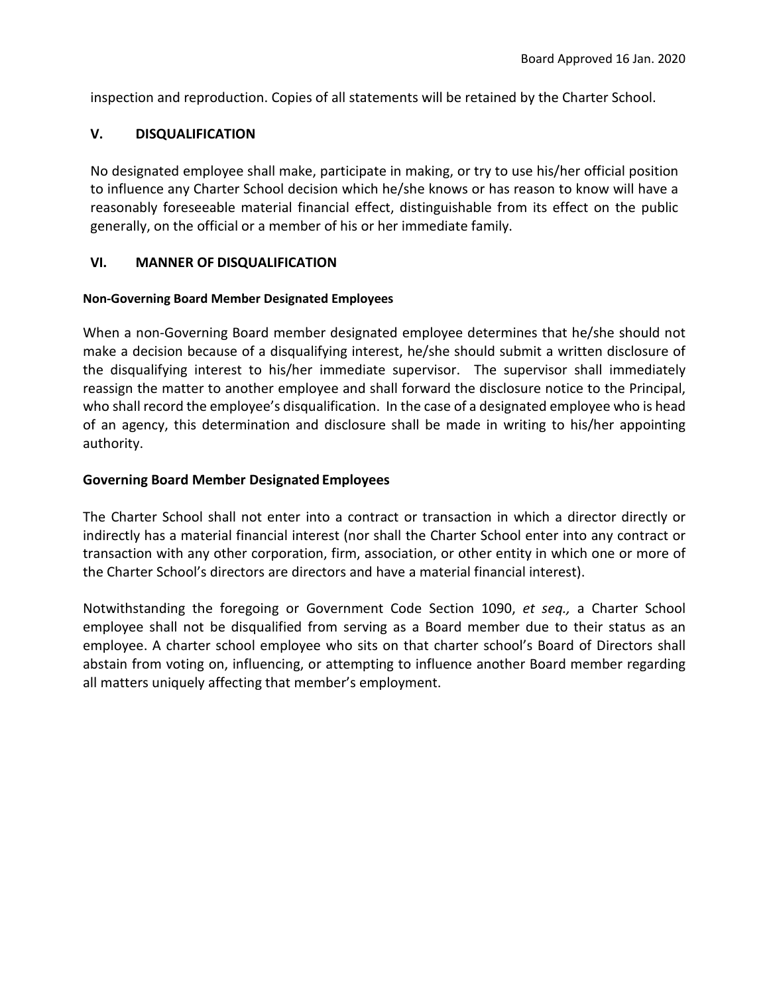inspection and reproduction. Copies of all statements will be retained by the Charter School.

## **V. DISQUALIFICATION**

No designated employee shall make, participate in making, or try to use his/her official position to influence any Charter School decision which he/she knows or has reason to know will have a reasonably foreseeable material financial effect, distinguishable from its effect on the public generally, on the official or a member of his or her immediate family.

### **VI. MANNER OF DISQUALIFICATION**

### **Non-Governing Board Member Designated Employees**

When a non-Governing Board member designated employee determines that he/she should not make a decision because of a disqualifying interest, he/she should submit a written disclosure of the disqualifying interest to his/her immediate supervisor. The supervisor shall immediately reassign the matter to another employee and shall forward the disclosure notice to the Principal, who shall record the employee's disqualification. In the case of a designated employee who is head of an agency, this determination and disclosure shall be made in writing to his/her appointing authority.

### **Governing Board Member Designated Employees**

The Charter School shall not enter into a contract or transaction in which a director directly or indirectly has a material financial interest (nor shall the Charter School enter into any contract or transaction with any other corporation, firm, association, or other entity in which one or more of the Charter School's directors are directors and have a material financial interest).

Notwithstanding the foregoing or Government Code Section 1090, *et seq.,* a Charter School employee shall not be disqualified from serving as a Board member due to their status as an employee. A charter school employee who sits on that charter school's Board of Directors shall abstain from voting on, influencing, or attempting to influence another Board member regarding all matters uniquely affecting that member's employment.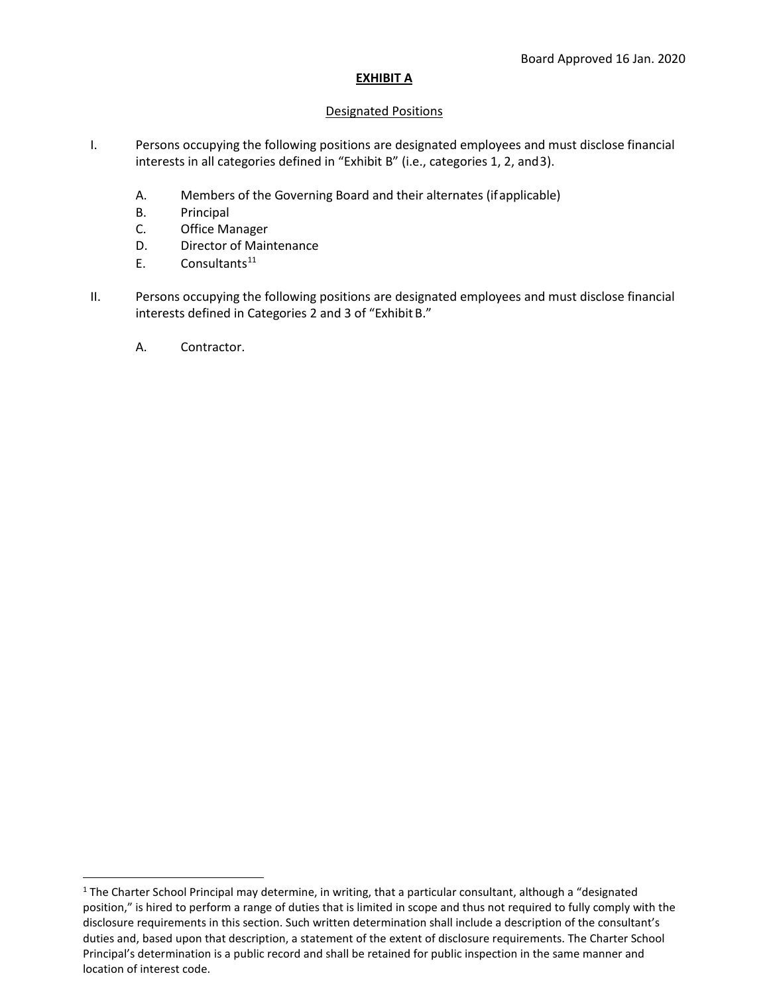### **EXHIBIT A**

#### Designated Positions

- I. Persons occupying the following positions are designated employees and must disclose financial interests in all categories defined in "Exhibit B" (i.e., categories 1, 2, and3).
	- A. Members of the Governing Board and their alternates (ifapplicable)
	- B. Principal
	- C. Office Manager
	- D. Director of Maintenance
	- $E.$  Consultants<sup>[11](#page-2-0)</sup>
- II. Persons occupying the following positions are designated employees and must disclose financial interests defined in Categories 2 and 3 of "ExhibitB."
	- A. Contractor.

<span id="page-2-0"></span> $1$  The Charter School Principal may determine, in writing, that a particular consultant, although a "designated position," is hired to perform a range of duties that is limited in scope and thus not required to fully comply with the disclosure requirements in this section. Such written determination shall include a description of the consultant's duties and, based upon that description, a statement of the extent of disclosure requirements. The Charter School Principal's determination is a public record and shall be retained for public inspection in the same manner and location of interest code.